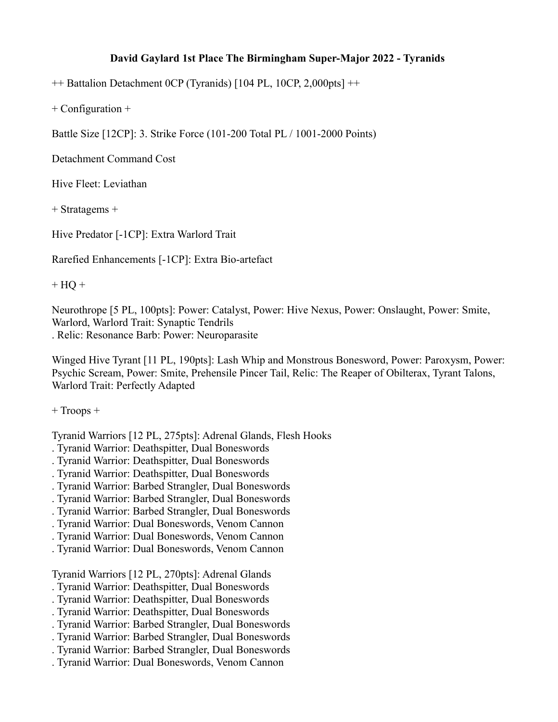## **David Gaylard 1st Place The Birmingham Super-Major 2022 - Tyranids**

++ Battalion Detachment 0CP (Tyranids) [104 PL, 10CP, 2,000pts] ++

+ Configuration +

Battle Size [12CP]: 3. Strike Force (101-200 Total PL / 1001-2000 Points)

Detachment Command Cost

Hive Fleet: Leviathan

+ Stratagems +

Hive Predator [-1CP]: Extra Warlord Trait

Rarefied Enhancements [-1CP]: Extra Bio-artefact

 $+$  HQ  $+$ 

Neurothrope [5 PL, 100pts]: Power: Catalyst, Power: Hive Nexus, Power: Onslaught, Power: Smite, Warlord, Warlord Trait: Synaptic Tendrils . Relic: Resonance Barb: Power: Neuroparasite

Winged Hive Tyrant [11 PL, 190pts]: Lash Whip and Monstrous Bonesword, Power: Paroxysm, Power: Psychic Scream, Power: Smite, Prehensile Pincer Tail, Relic: The Reaper of Obilterax, Tyrant Talons, Warlord Trait: Perfectly Adapted

+ Troops +

Tyranid Warriors [12 PL, 275pts]: Adrenal Glands, Flesh Hooks

- . Tyranid Warrior: Deathspitter, Dual Boneswords
- . Tyranid Warrior: Deathspitter, Dual Boneswords
- . Tyranid Warrior: Deathspitter, Dual Boneswords
- . Tyranid Warrior: Barbed Strangler, Dual Boneswords
- . Tyranid Warrior: Barbed Strangler, Dual Boneswords
- . Tyranid Warrior: Barbed Strangler, Dual Boneswords
- . Tyranid Warrior: Dual Boneswords, Venom Cannon
- . Tyranid Warrior: Dual Boneswords, Venom Cannon
- . Tyranid Warrior: Dual Boneswords, Venom Cannon

Tyranid Warriors [12 PL, 270pts]: Adrenal Glands

- . Tyranid Warrior: Deathspitter, Dual Boneswords
- . Tyranid Warrior: Deathspitter, Dual Boneswords
- . Tyranid Warrior: Deathspitter, Dual Boneswords
- . Tyranid Warrior: Barbed Strangler, Dual Boneswords
- . Tyranid Warrior: Barbed Strangler, Dual Boneswords
- . Tyranid Warrior: Barbed Strangler, Dual Boneswords
- . Tyranid Warrior: Dual Boneswords, Venom Cannon